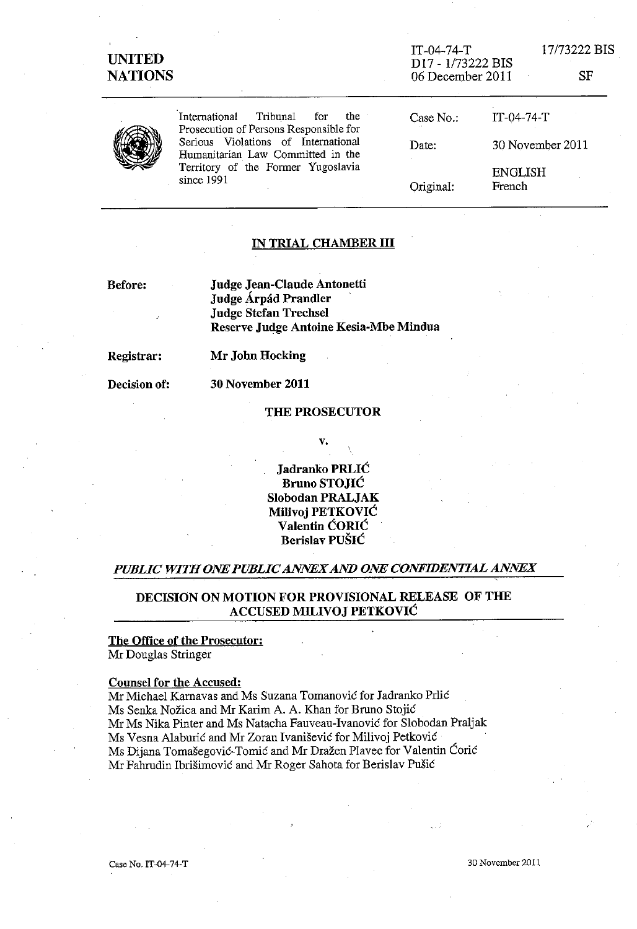## UNITED **NATIONS**

IT-04-74-T D17 - 1/73222 BIS 06 December 2011 17/73222 BIS

SF



International Tribunal for the Prosecution of Persons Responsible for Serious Violations of International Humanitarian Law Committed in the Territory of the Former Yugoslavia since  $1991$ 

Case No.: IT-04-74-T Date: Original: 30 November 2011 ENGLISH French

#### IN TRIAL CHAMBER **III**

Before:

Judge Jean-C1aude Antonetti Judge Árpád Prandler Judge Stefan TrechseI Reserve Judge Antoine Kesia-Mbe Mindua

Registrar:

Mr John Hocking

Decision of:

30 November 2011

#### THE PROSECUTOR

v.

Jadranko PRLIC Bruno STOJIC SIobodan PRALJAK MiIivoj PETKOVIC VaIentin CORIC Berislav PUSIC

#### *PUBLIC WITH ONE PUBLIC ANNEX AND ONE CONFIDENTIAL ANNEX*

DECISION ON MOTION FOR PROVISIONAL RELEASE OF THE ACCUSED MILIVOJ PETKOVIC

## The Office of the Prosecutor:

Mr Douglas Stringer

#### Counsel for the Accused:

Mr MichaeI Karnavas and Ms Suzana Tomanovic for Jadranko PrIic Ms Senka Nožica and Mr Karim A. A. Khan for Bruno Stojić Mr Ms Nika Pinter and Ms Natacha Fauveau-Ivanovic for SIobodan Praljak Ms Vesna A1aburic and Mr Zoran Ivanisevic for MiIivoj Petkovic Ms Dijana Tomasegovic-Tomic and Mr Drazen Plavec for Valentin Coric Mr Fahrudin Ibrisimovic and Mr Roger Sahota for Berislav Pusic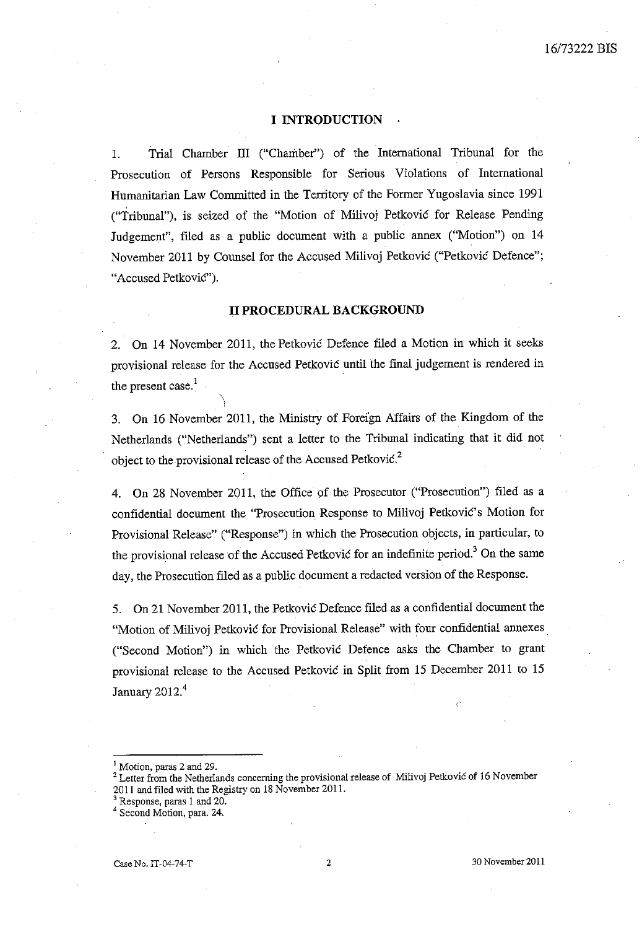#### **I INTRODUCTION**

l. Trial Chamber ID ("Chamber") of the International Tribunal for the Prosecution of Persons Responsible for Serious Violations of International Humanitarian Law Committed in the Territory of the Former Yugoslavia since 1991 ("Tribunal"), is seized of the "Motion of Milivoj Petkovic for Release Pending Judgement", filed as a public document with a public annex ("Motion") on 14 November 2011 by Counsel for the Accused Milivoj Petkovic ("Petkovic Defence"; "Accused Petković").

#### **II PROCEDURAL BACKGROUND**

2. **On** 14 November 2011, the Petkovic Defence filed a Motion in which it seeks provisional release for the Accused Petkovic until the final judgement is rendered in the present case. $<sup>1</sup>$ </sup>

 $\setminus$ 

3. On 16 November 2011, the Ministry of Foreign Affairs of the Kingdom of the Netherlands ("Netherlands") sent a letter to the Tribunal indicating that it did not object to the provisional release of the Accused Petković.<sup>2</sup>

4. On 28 November 2011, the Office of the Prosecutor ("Prosecution") filed as a confidential document the "Prosecution Response to Milivoj Petković's Motion for Provisional Release" ("Response") in which the Prosecution objects, in particular, to the provisional release of the Accused Petkovic for an indefinite period.<sup>3</sup> On the same day, the Prosecution filed as a public document a redacted version of the Response.

5. On 2l November 2011, the Petkovic Defence filed as a confidential document the "Motion of Milivoj Petković for Provisional Release" with four confidential annexes. ("Second Motion") in which the Petkovic Defence asks the Chamber to grant proVisional release to the Accused Petkovic in Split from 15 December 2011 to 15 January 2012.<sup>4</sup>

<sup>1</sup> Motion, paras 2 and 29.

**<sup>2</sup> Letter from the Netherlands concerning the provisional release of Milivoj Petkovic of 16 November**  2011 and filed with the Registry on 18 November 2011.

Response, paras 1 and 20.

Second Motion, para. 24.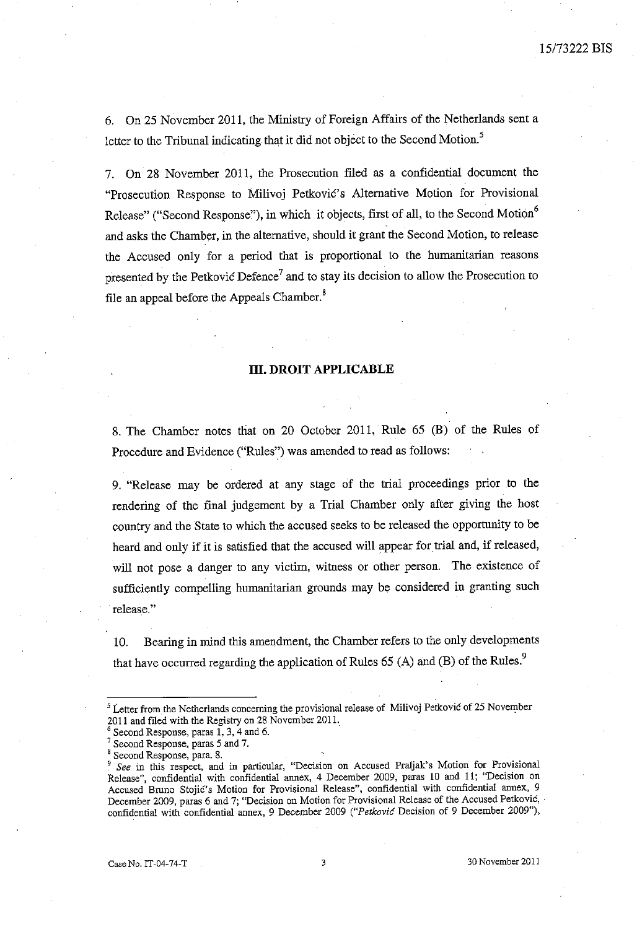6. On 25 November 2011, the Ministry of Foreign Affairs of the Netherlands sent a letter to the Tribunal indicating that it did not object to the Second Motion.<sup>5</sup>

7. On 28 November 2011, the Prosecution filed as a confidential document the "Prosecution Response to Milivoj Petković's Alternative Motion for Provisional Release" ("Second Response"), in which it objects, first of all, to the Second Motion<sup>6</sup> and asks the Chamber, in the alternative, should it grant the Second Motion, to release the Accused only for a period that is proportional to the humanitarian reasons presented by the Petkovic Defence<sup>7</sup> and to stay its decision to allow the Prosecution to file an appeal before the Appeals Chamber.<sup>8</sup>

#### **m. DROIT APPLICABLE**

8. The Chamber notes that on 20 October 2011, Rule 65 (B) of the Rules of Procedure and Evidence ("Rules") was amended to read as follows:

9. "Release may be ordered at any stage of the trial proceedings prior to the rendering of the final judgement by a Trial Chamber only after giving the host country and the State to which the accused seeks to be released the opportunity to be heard and only if it is satisfied that the accused will appear for trial and, if released, will not pose a danger to any victim, witness or other person. The existence of sufficiently compelling humanitarian grounds may be considered in granting such **release. "** 

10. Bearing in mind this amendment, the Chamber refers to the only developments that have occurred regarding the application of Rules  $65$  (A) and (B) of the Rules.<sup>9</sup>

<sup>&</sup>lt;sup>5</sup> Letter from the Netherlands concerning the provisional release of Milivoj Petković of 25 November 2011 and filed with the Registry on 28 November 2011.

Second Response, paras 1, 3, 4 and 6.

<sup>7</sup>**Second Response, paras 5 and 7.** 

<sup>&</sup>lt;sup>8</sup> Second Response, para. 8.

*<sup>9</sup> See* **in this respect, and in particular, "Decision on Accused Praljak's Motion for Provisional**  Release", confidential with confidential armex, 4 December 2009, paras 10 and 11; "Decision on **Accused Bmnc Stojic's Motion for Provisional Release", confidential with confidential annex, 9 December 2009, paras 6 and 7; "Decision on Motion for Provisional Release of the Accused Petkovic,** . confidential with confidential annex, 9 December 2009 *("Petkovic* Decision of 9 December 2009"),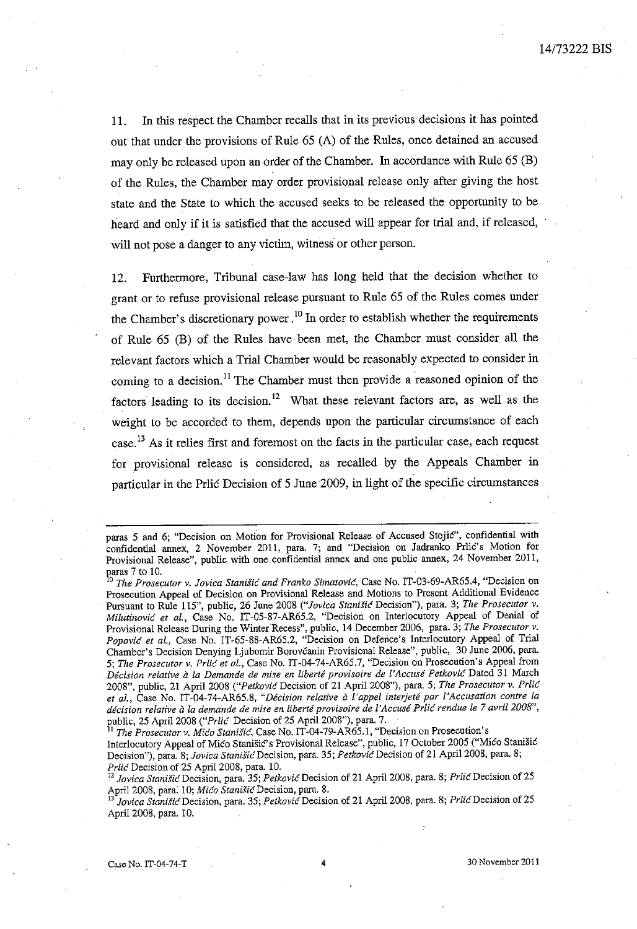11. In this respect the Chamber recalls that in its previous decisions it has pointed out that under the provisions of Rule 65 (A) of the Rules. once detained an accused may only be released upon an order of the Chamber. In accordance with Rule 65 (E) of the Rules, the Chamber may order provisional release only after giving the host state and the State to which the accused seeks to be released the opportunity to be heard and only if it is satisfied that the accused will appear for trial and, if released, will not pose a danger to any victim, witness or other person.

12. Furthermore, Tribunal case-law has long held that the decision whether to grant or to refuse provisional release pursuant to Rule 65 of the Rules comes under the Chamber's discretionary power.<sup>10</sup> In order to establish whether the requirements of Rule 65 (E) of the Rules have been met, the Chamber must consider all the relevant factors which a Trial Chamber would be reasonably expected to consider in coming to a decision.<sup>11</sup> The Chamber must then provide a reasoned opinion of the factors leading to its decision.<sup>12</sup> What these relevant factors are, as well as the weight to be accorded to them, depends upon the particular circumstance of each case.<sup>13</sup> As it relies first and foremost on the facts in the particular case, each request for provisional release is considered, as recalled by the Appeals Chamber in particular in the Prlic Decision of 5 June 2009, in light of the specific circumstances

paras 7 to 10.<br><sup>10</sup> The Prosecutor v. Jovica Stanišić and Franko Simatović, Case No. IT-03-69-AR65.4, "Decision on **Prosecution Appeal of Decision on Provisional Release and Motions to Present Additional Evidence Pursuant to Rule 115", public, 26 June 2008** *("Jovica StaniS'i6* **Decision"), para. 3;** *The Prosecutor v. Milutinovic et al.,* Case No. IT-05-S7-AR65.2, "Decision on Interlocutory Appeal of Denial of **Provisional Release DUring the Winter Recess", public, 14 December 2006, para. 3;** *The Prosecutor v. Popovic et a/.,* Case No. *IT-65-SS-AR6S.2,* "Decision on Defence's Interlocutory Appeal of Trial Chamber's Decision Denying Ljubomir Borovcanin Provisional Release", public, 30 June 2006. para. *5; The Prosecutor v. PrUc et al.,* Case No. IT-04-74-AR65.7, "Decision on Prosecution's Appeal from *Decision relative a la Demande de mise en liberte provisoire de ['Accuse Petkovi6* **Dated 31 March**  200S", public, 21 April 200S *("Petkovic* Decision of 21 April 2008"), para. 5; *The Prosecutor v. Prlic*  et al., Case No. IT-04-74-AR65.8, "Décision relative à l'appel interjeté par l'Accusation contre la *decision relative a la demande de mise en liberti provisoire de ['Accuse Prlic rendue le* **7** *avril2008",*  public, 25 April 2008 *("Prlic* Decision of 25 April 2008"), para. 7.

*1The Prosecutor v. Mico Stanisic***, Case No. IT-04-79-AR65.1, "Decision on Prosecution's** Interlocutory Appeal of Mico Stanišic's Provisional Release", public, 17 October 2005 ("Mico Stanišic **Decision"), para. 8;** *Jovica StaniSicDecision,* **para. 35;** *Petkovi6Decision* **of 21** April 2008, **para. 8;**  *Prlic* Decision of 25 April 2008, para. 10.

**<sup>12</sup>***Jovica StanisicDecision,* **para. 35;** *PetkovicDecision* **of 21** April 2008, **para. 8;** *PrltcDecision* **of 25**  April 2008, para. 10; *Mico StanisicDecision,* para. 8.

*13 Jovica Stanisic* **Decision, para. 35;** *Petkovic* **Decision of 21 Apri12008, para. 8;** *PrltcDecision* **of 25**  April 2008, para. 10.

**paras 5 and 6; "Decision on Motion for Provisional Release of Accused Stojic", confidential with**  confidential annex, 2 November 2011, para. 7; and "Decision on Jadranko Prlić's Motion for **Provisional Release", public with one confidential annex and one public annex, 24 November 2011,**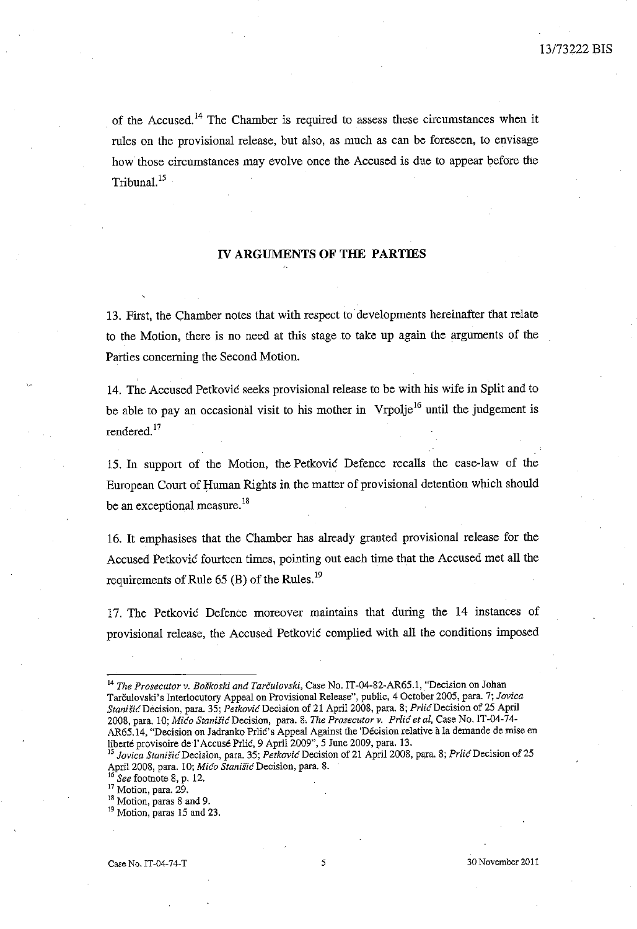of the Accused.<sup>14</sup> The Chamber is required to assess these circumstances when it rules on the provisional release, but also, as much as can be foreseen, to envisage how those circumstances may evolve once the Accused is due to appear before the Tribunal. 15

### IV ARGUMENTS OF THE PARTIES

13. First, the Chamber notes that with respect to developments hereinafter that relate to the Motion, there is no need at this stage to take up again the arguments of the Parties concerning the Second Motion.

14. The Accused Petkovic seeks provisional release to be with his wife in Split and to be able to pay an occasional visit to his mother in Vrpolje<sup>16</sup> until the judgement is rendered.<sup>17</sup>

15. In support of the Motion, the Petković Defence recalls the case-law of the European Court of Human Rights in the matter of provisional detention which should be an exceptional measure.<sup>18</sup>

16. It emphasises that the Chamber has already granted provisional release for the Accused Petkovic fourteen times, pointing out each time that the Accused met all the requirements of Rule  $65$  (B) of the Rules.<sup>19</sup>

17. The Petković Defence moreover maintains that during the 14 instances of provisional release, the Accused Petkovic complied with all the conditions imposed

<sup>17</sup> Motion, para. 29.

<sup>19</sup> Motion, paras 15 and 23.

<sup>&</sup>lt;sup>14</sup> The Prosecutor v. Boškoski and Tarčulovski, Case No. IT-04-82-AR65.1, "Decision on Johan Tarculovski's Interlocutory Appeal on Provisional Release", public, 4 October 2005, para. 7; *Jovica StanisicDecision,* para. 35; *PetkavicDecision* of 21 Apri1200S, para. 8; *PrlicDecision* of 25 April 2008, para. 10; *Mica Stanisi6Decision,* para. 8. *The Prosecutor v. Prlic et aI,* Case No. **IT** -04-74- AR65.14, "Decision on Jadranko Prlic's Appeal Against the 'Décision relative à la demande de mise en liberté provisoire de l'Accusé Prlić, 9 April 2009", 5 June 2009, para. 13.

*<sup>15</sup> Jovica Stanisi6* Decision, para. 35; *Petkovi6* Decision of 21 April 2008, para. 8; *Prli6Decision* of 25 April 2008, para. 10; *Mico Stanišic* Decision, para. 8.<br><sup>16</sup> Section, <sup>16</sup>

<sup>16</sup>*See* footnote S, p. 12.

<sup>&</sup>lt;sup>18</sup> Motion, paras 8 and 9.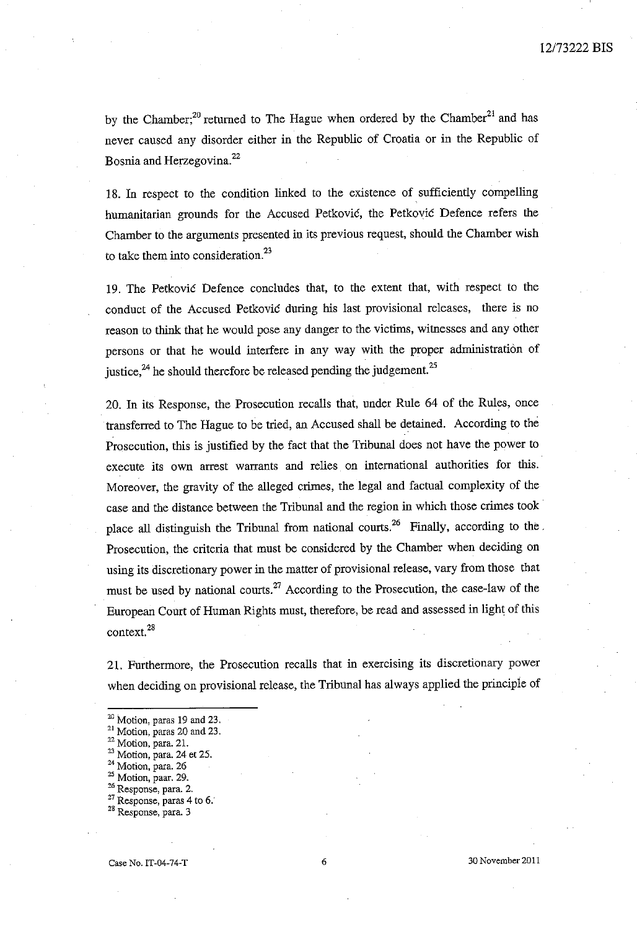by the Chamber;<sup>20</sup> returned to The Hague when ordered by the Chamber<sup>21</sup> and has never caused any disorder either in the Republic of Croatia or in the Republic of Bosnia and Herzegovina.<sup>22</sup>

18. In respect to the condition linked to the existence of sufficiently compelling humanitarian grounds for the Accused Petkovic, the Petkovic Defence refers the Chamber to the arguments presented in its previous request, shonld the Chamber wish to take them into consideration. $^{23}$ 

19. The Petkovic Defence concludes that, to the extent that, with respect to the conduct of the Accused Petkovic during his last provisional releases, there is no reason to think that he would pose any danger to the victims, witnesses and any other persons or that he would interfere in any way with the proper administration of justice,<sup>24</sup> he should therefore be released pending the judgement.<sup>25</sup>

20. In its Response, the Prosecution recalls that, under Rule 64 of the Rules, once transferred to The Hague to be tried, an Accused shall be detained. According to the Prosecution, this is justified by the fact that the Tribunal does not have the power to execute its own arrest warrants and relies on international authorities for this. Moreover, the gravity of the alleged crimes, the legal and factual complexity of the case and the distance between the Tribunal and the region in which those crimes took place all distinguish the Tribunal from national courts.<sup>26</sup> Finally, according to the. Prosecution, the criteria that must be considered by the Chamber when deciding on using its discretionary power in the matter of provisional release, vary from those that must be used by national courts.<sup>27</sup> According to the Prosecution, the case-law of the European Court of Human Rights must, therefore, be read and assessed in light of this context.<sup>28</sup>

21. Furthermore, the Prosecution recalls that in exercising its discretionary power when deciding on provisional release, the Tribunal has always applied the principle of

- <sup>23</sup>**Motion, para. 24 et 25.**
- **24 Motion, para. 26**
- **25 Motion, paar. 29.**
- **26 Response, para. 2.**
- **27 Response, paras 4 to 6:**

 $20$  Motion, paras 19 and 23.

**<sup>21</sup> Motion, paras 20 and 23.** 

**<sup>22</sup> Motion, para. 21.** 

**<sup>28</sup> Response, para. 3**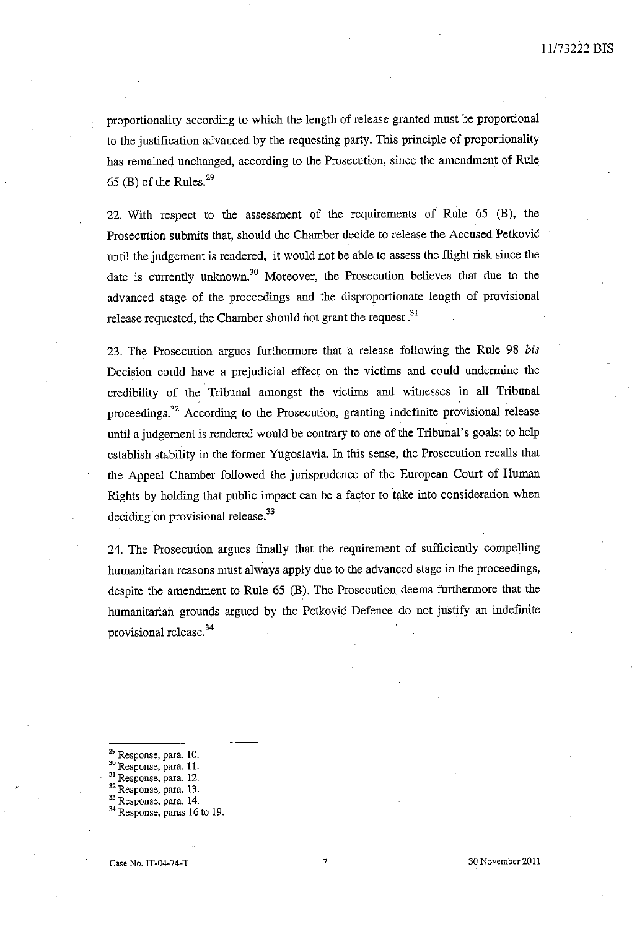proportionality according to which the length of release granted must be proportional to tbe justification advanced by the requesting party. This principle of proportionality has remained unchanged, according to the Prosecution, since the amendment of Rule 65 (B) of the Rules. $^{29}$ 

22. Witb respect to tbe assessment of the requirements of Rule 65 (B), tbe Prosecution submits that, should the Chamber decide to release the Accused Petković until the judgement is rendered, it would not be able to assess the flight risk since the date is currently unknown.<sup>30</sup> Moreover, the Prosecution believes that due to the advanced stage of the proceedings and the disproportionate length of provisional release requested, the Chamber should not grant the request.<sup>31</sup>

23. The Prosecution argues furthermore that a release following tbe Rule 98 *bis*  Decision could have a prejudicial effect on the victims and could undermine tbe credibility of the Tribunal amongst the victims and witnesses in all Tribunal proceedings?2 According to the Prosecution, granting indefinite provisional release until a judgement is rendered would be contrary to one of the Tribunal's goals: to help establish stability in the former Yugoslavia. In this sense, the Prosecution recalls that the Appeal Chamber followed the jurisprudence of the European Court of Human Rights by holding tbat public impact can be a factor to take into consideration when deciding on provisional release.<sup>33</sup>

24. The Prosecution argues finally that the requirement of sufficiently compelling humanitarian reasons must always apply due to the advanced stage in the proceedings, despite the amendment to Rule 65 (B). The Prosecution deems furtbermore tbat the humanitarian grounds argued by the Petkovic Defence do not justify an indefinite provisional release.<sup>34</sup>

- Response, para. 10.
- **30 Response, para. 11.**
- **<sup>31</sup>Response, para. 12.**
- **32 Response, para. 13.**
- **33 Response, para. 14.**

Response, paras 16 to 19.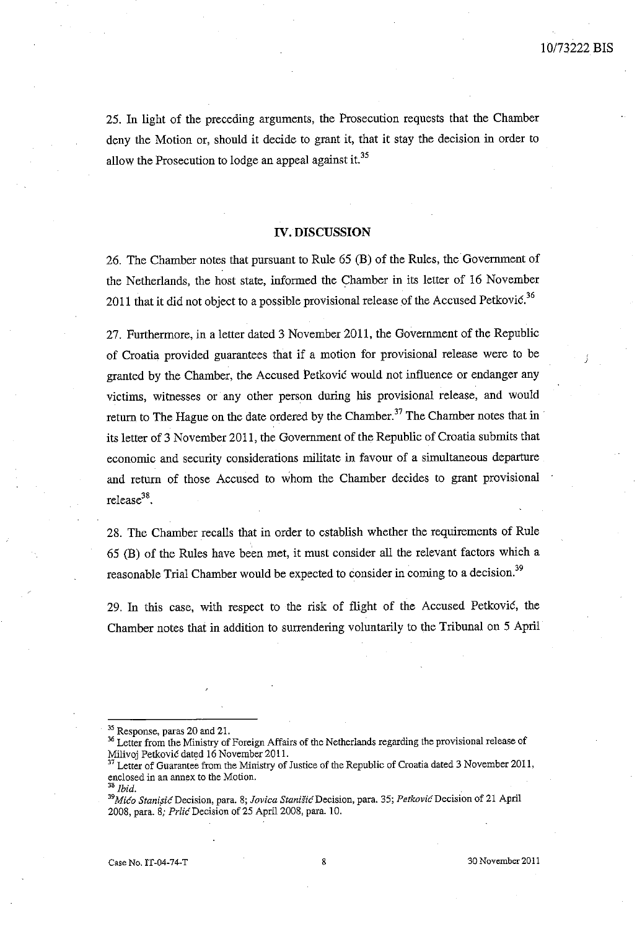J

25. In light of the preceding arguments, the Prosecution requests that the Chamber deny the Motion or, should it decide to grant it, that it stay the decision in order to allow the Prosecution to lodge an appeal against it.<sup>35</sup>

#### **IV. DISCUSSION**

26. The Chamber notes that pursuant to Rule 65 (B) of the Rules, the Government of the Netherlands, the host state, informed the Chamber in its letter of 16 November 2011 that it did not object to a possible provisional release of the Accused Petković.<sup>36</sup>

27. Furthermore, in a letter dated 3 November 2011, the Government of the Republic of Croatia provided guarantees that if a motion for provisional release were to be granted by the Chamber, the Accused Petkovic would not influence or endanger any victims, witnesses or any other person during his provisional release, and would return to The Hague on the date ordered by the Chamber.<sup>37</sup> The Chamber notes that in its letter of 3 November 2011, the Government of the Republic of Croatia submits that economic and security considerations militate in favour of a simultaneous departure and return of those Accused to whom the Chamber decides to grant provisional release<sup>38</sup>.

28. The Chamber recalls that in order to establish whether the requirements of Rule 65 (B) of the Rules have been met, it must consider all the relevant factors which a reasonable Trial Chamber would be expected to consider in coming to a decision.<sup>39</sup>

29. In this case, with respect to the risk of flight of the Accused Petkovic, the Chamber notes that in addition to surrendering voluntarily to the Tribunal on 5 April

<sup>&</sup>lt;sup>35</sup> Response, paras 20 and 21.

**<sup>36</sup> Letter from the Ministry of Foreign Affairs of the Netherlands regarding the provisional release of**  Milivoj Petkovic dated 16 November 2011.

Letter of Guarantee from the Ministry of Justice of the Republic of Croatia dated 3 November 2011, **enclosed in an annex to the Motion.** 

 $^8$ *Ibid*.

**J9***Mico Stani***p***i6Decision,* **para. 8;** *Jovica* **Stanisi6Decision, para. 35;** *PetkovicDecision* **of 21 April**  2008, para. 8; *PrlicDecision* of 25 April 2008, para. 10.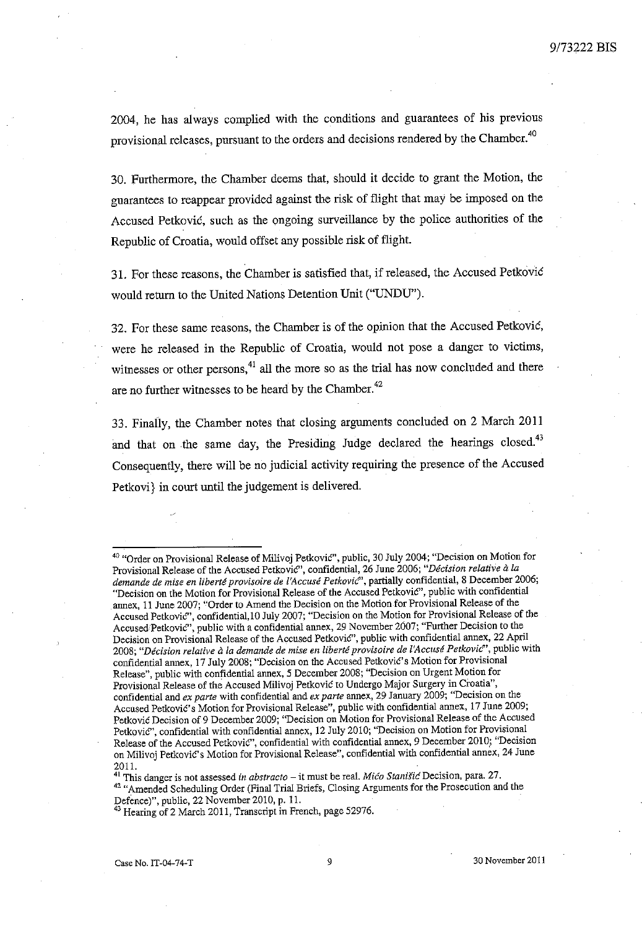2004, he has always complied with the conditions and guarantees of his previous provisional releases, pursuant to the orders and decisions rendered by the Chamber.<sup>40</sup>

30. Furthermore, the Chamber deems that, should it decide to grant the Motion, the guarantees to reappear provided against the risk of flight that may be imposed on the Accused Petkovic, such as the ongoing surveillance by the police authorities of the Republic of Croatia, would offset any possible risk of flight.

31. For these reasons, the Chamber is satisfied that, ifreleased, the Accused Petkovic would return to the United Nations Detention Unit ("UNDU").

32. For these same reasons, the Chamber is of the opinion that the Accused Petkovic, were he released in the Republic of Croatia, would not pose a danger to victims, witnesses or other persons, $41$  all the more so as the trial has now concluded and there are no further witnesses to be heard by the Chamber.<sup>42</sup>

33. Finafly, the Chamber notes that closing arguments concluded on 2 March 2011 and that on the same day, the Presiding Judge declared the hearings closed.<sup>43</sup> Consequently, there will be no judicial activity requiring the presence of the Accused Petkovi} in court until the judgement is delivered.

**<sup>41</sup>This danger is not assessed** *in abstracto* **- it must be real.** *Mico Stanitic* **Decision, para. 27.**  <sup>42</sup> "Amended Scheduling Order (Final Trial Briefs, Closing Arguments for the Prosecution and the Defence)", public, 22 November 2010, p. 11.

<sup>40 &</sup>quot;Order on Provisional Release of Milivoj Petkovic", public, 30 July 2004; "Decision on Motion for Provisional Release of the Accused Petkovic", confidential, 26 June 2006; "Décision relative à la *demande de mise en liberte provisoire de* **['Accllse** *Petkovic"',* **partially confidential, 8 December 2006; "Decision on the Motion for Provisional Release of the Accused Petkovic", public with confidential annex, 11 June 2007; "Order to Amend the Decision on the Motion for Provisional Release of the**  Accused Petkovic", confidential, 10 July 2007; "Decision on the Motion for Provisional Release of the Accused<sup>:</sup>Petković", public with a confidential annex, 29 November 2007; "Further Decision to the **Decision on Provisional Release of the Accused Petkovic", public with confidential annex, 22 April**  *2008; "Decision relative* **a** *la demande de mise en liberte provisoire de l'Accuse Petkovic"',* **public with confidential annex, 17 July 2008; "Decision on the Accused PetkoviC's Motion for Provisional**  Release", public with confidential annex, 5 December 2008; "Decision on Urgent Motion for Provisional Release of the Accused Milivoj Petković to Undergo Major Surgery in Croatia", **confidential and** *ex parte* **with confidential and** *ex parte* **annex, 29 January 2009; "Decision on the**  Accused Petković's Motion for Provisional Release", public with confidential annex, 17 June 2009; **Petkovic Decision of 9 December 2009; "Decision on Motion for Provisional Release of the Accused**  Petkovic", confidential with confidential annex, 12 July 2010; "Decision on Motion for Provisional **Release of the Accused Petkovic", confidential with confidential annex, 9 December 2010; "Decision on Milivoj Petkovic's Motion for Provisional Release", confidential with confidential annex, 24 June**  2011.

<sup>&</sup>lt;sup>43</sup> Hearing of 2 March 2011, Transcript in French, page 52976.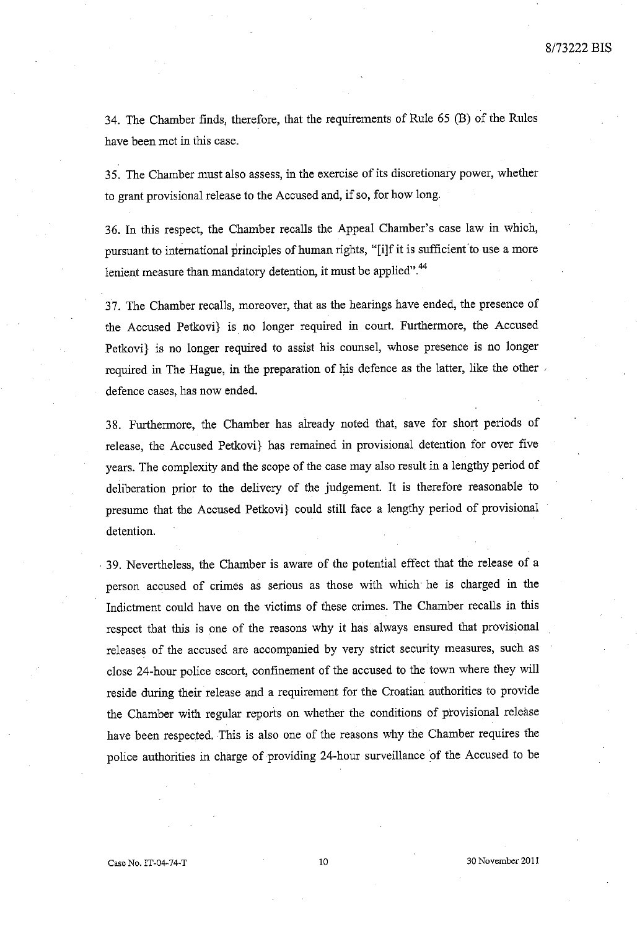34. The Chamber finds, therefore, that the requirements of Rule 65 (B) of the Rules have been met in this case.

35. The Chamber must also assess, in the exercise of its discretionary power, whether to grant provisional release to the Accused and, if so, for how long.

36. **In** this respect, the Chamber recalls the Appeal Chamber's case law in which, pursuant to international principles of human rights, "[i]f it is sufficient to use a more lenient measure than mandatory detention, it must be applied".<sup>44</sup>

3 7. The Chamber recalls, moreover, that as the hearings have ended, the presence of the Accused Petkovi} is no longer required in court. Furthermore, the Accused Petkovi} is no longer required to assist his counsel, whose presence is no longer required in The Hague, in the preparation of his defence as the latter, like the other . defence cases, has now ended.

38. Furthermore, the Chamber has already noted that, save for short periods of release, the Accused Petkovi} has remained in provisional detention for over five years. The complexity and the scope of the case may also result in a lengthy period of deliberation prior to the delivery of the judgement. It is therefore reasonable to presume that the Accused Petkovi} could still face a lengthy period of provisional detention.

. 39. Nevertheless, the Chamber is aware of the potential effect that the release of a person accused of crimes as serious as those with which· he is charged in the Indictment could have on the victims of these crimes. The Chamber recalls in this respect that this is one of the reasons why it has always ensured that provisional releases of the accused are accompanied by very strict security measures, such as close 24-hour police escort, confinement of the accused to the town where they will reside during their release and a requirement for the Croatian authorities to provide the Chamber with regular reports on whether the conditions of provisional release have been respected. This is also one of the reasons why the Chamber requires the police authorities in charge of providing 24-hour surveillance of the Accused to be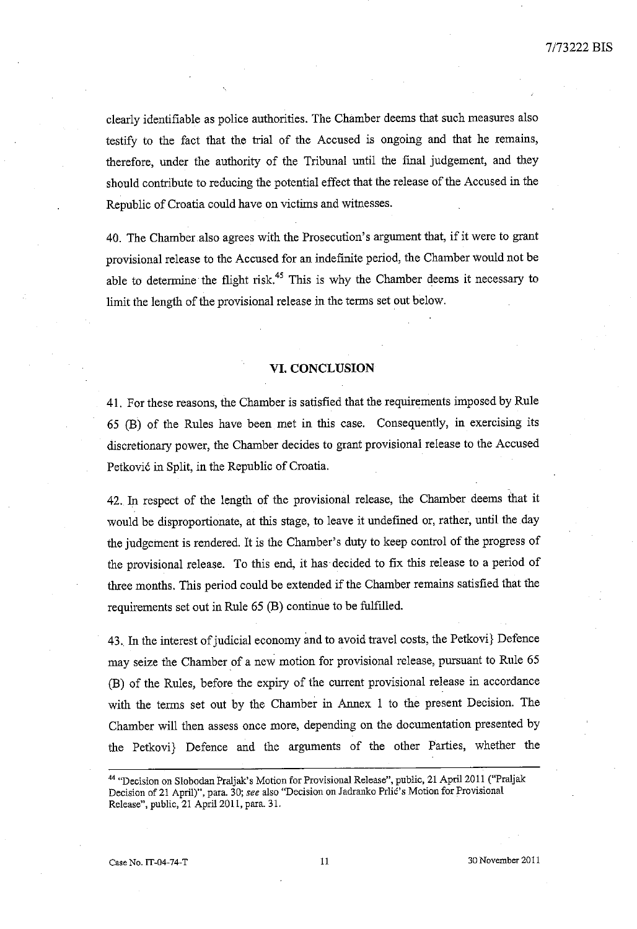clearly identifiable as police authorities. The Chamber deems that such measures also testify to the fact that the trial of the Accused is ongoing and that he remains, therefore, under the authority of the Tribunal until the final judgement, and they should contribute to reducing the potential effect that the release of the Accused in the Republic of Croatia could have on victims and witnesses.

40. The Chamber also agrees with the Prosecution's argument that, if it were to grant provisional release to the Accused for an indefinite period, the Chamber would not be able to determine the flight risk.<sup>45</sup> This is why the Chamber deems it necessary to limit the length of the provisional release in the terms set out below.

#### **VI. CONCLUSION**

41. For these reasons, the Chamber is satisfied that the requirements imposed by Rule 65 (B) of the Rules have been met in this case. Consequently, in exercising its discretionary power, the Chamber decides to grant provisional release to the Accused Petković in Split, in the Republic of Croatia.

42. In respect of the length of the provisional release, the Chamber deems that it would be disproportionate, at this stage, to leave it undefmed or, rather, until the day the judgement is rendered. It is the Chamber's duty to keep control of the progress of the provisional release. To this end, it has decided to fix this release to a period of three months. This period could be extended if the Chamber remains satisfied that the requirements set out in Rule 65 (B) continue to be fulfilled.

43. In the interest of judicial economy and to avoid travel costs, the Petkovi} Defence may seize the Chamber of a new motion for provisional release, pursuant to Rule 65 (B) of the Rules, before the expiry of the current provisional release in accordance with the terms set out by the Chamber in Annex 1 to the present Decision. The Chamber will then assess once more, depending on the documentation presented by the Petkovi} Defence and the arguments of the other Parties, whether the

<sup>44 &</sup>quot;Decision on Slobodan Praljak's Motion for Provisional Release", public, 21 April 2011 ("Praljak Decision of 21 April)", para. 30; see also "Decision on Jadranko Prlic's Motion for Provisional Release", public, 21 April 2011, para. 31.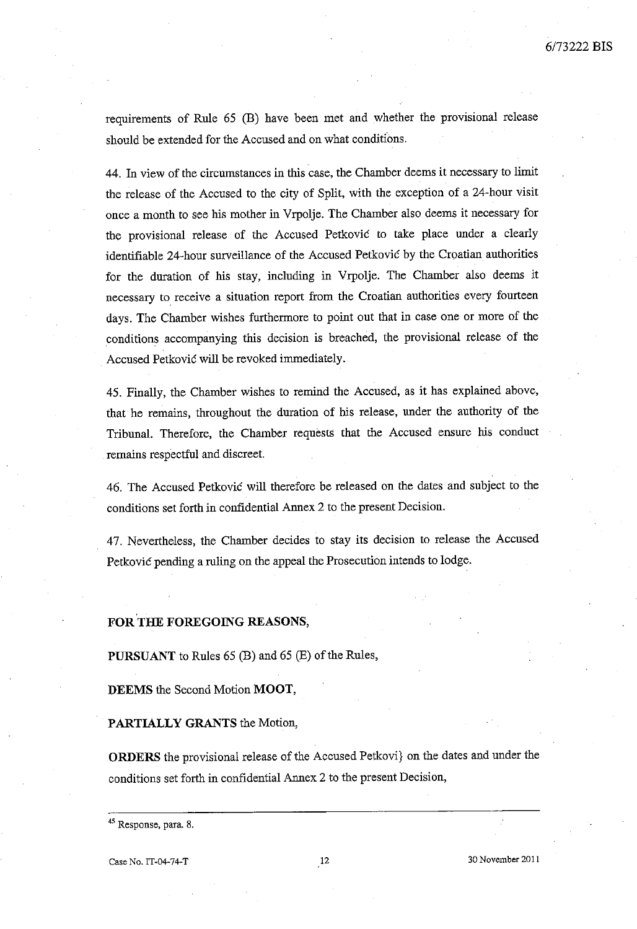requirements of Rule 65 (B) have been met and whether the provisional release should be extended for the Accused and on what conditions.

44. In view of the circumstances in this case, the Chamber deems it necessary to limit the release of the Accused to the city of Split, with the exception of a 24-hour visit once a month to see his mother in Vrpolje. The Chamber also deems it necessary for the provisional release of the Accused Petkovic to take place under a clearly identifiable 24-hour surveillance of the Accused Petkovic by the Croatian authorities for the duration of his stay, including in Vrpolje. The Chamber also deems it necessary to receive a situation report from the Croatian authorities every fourteen days. The Chamber wishes furthermore to point out that in case one or more of the conditions accompanying this decision is breached, the provisional release of the Accused Petkovic will be revoked immediately.

45. Finally, the Chamber wishes to remind the Accused, as it has explained above, that he remains, throughout the duration of his release, under the authority of the Tribunal. Therefore, the Chamber requests that the Accused ensure his conduct remains respectful and discreet.

46. The Accused Petkovic will therefore be released on the dates and subject to the conditions set forth in confidential Annex 2 to the present Decision.

47. Nevertheless, the Chamber decides to stay its decision to release the Accused Petkovic pending a ruling on the appeal the Prosecution intends to lodge.

#### FOR THE FOREGOING REASONS,

PURSUANT to Rules 65 (B) and 65 (E) of the Rules,

DEEMS the Second Motion MOOT,

PARTIALLY GRANTS the Motion,

ORDERS the provisional release of the Accused Petkovi} on the dates and under the conditions set forth in confidential Annex 2 to the present Decision,

<sup>45</sup> Response, para. 8.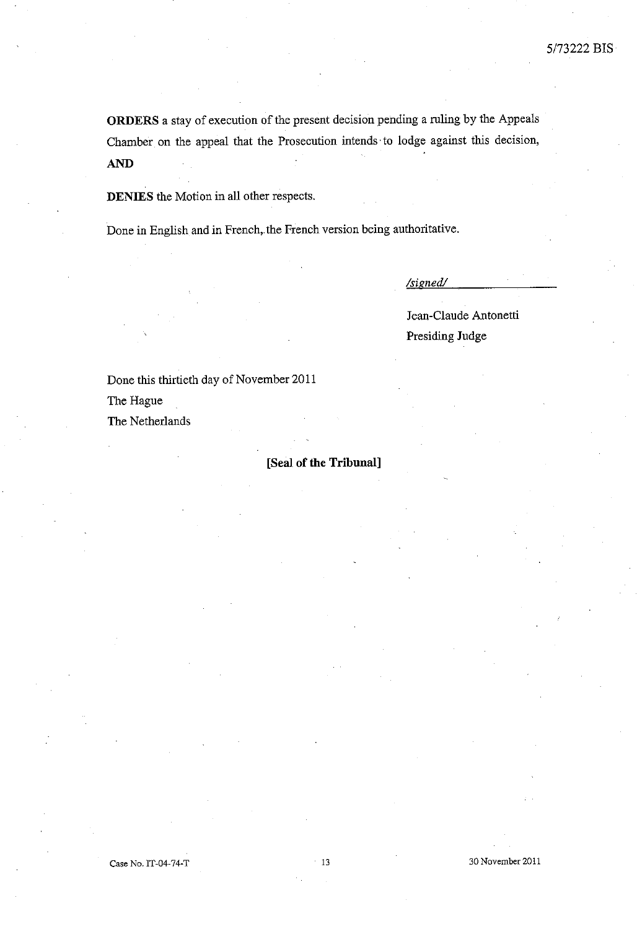**ORDERS** a stay of execution of the present decision pending a ruling by the Appeals Chamber on the appeal that the Prosecution intends' to lodge against this decision, AND

**DENIES** the Motion in all other respects.

Done in English and in French, the French version being authoritative.

*/signed/* 

Jean-Claude Antonetti Presiding Judge

Done this thirtieth day of November 2011

The Hague

The Netherlands

## **[Seal of the Tribunal]**

Case No. IT-04-74-T 13

**30 November 2011**